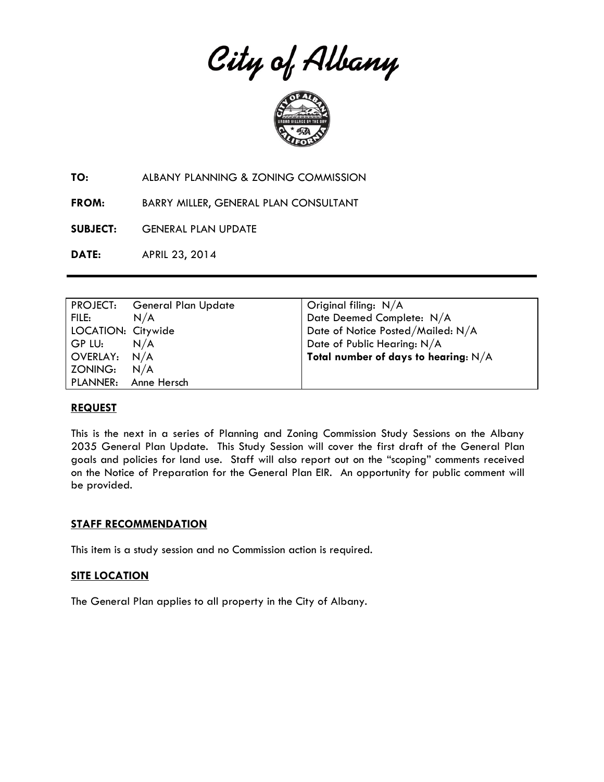City of Albany



**TO:** ALBANY PLANNING & ZONING COMMISSION

**FROM:** BARRY MILLER, GENERAL PLAN CONSULTANT

**SUBJECT:** GENERAL PLAN UPDATE

**DATE:** APRIL 23, 2014

|                    | PROJECT: General Plan Update | Original filing: $N/A$                 |
|--------------------|------------------------------|----------------------------------------|
| FILE:              | N/A                          | Date Deemed Complete: N/A              |
| LOCATION: Citywide |                              | Date of Notice Posted/Mailed: N/A      |
| GP LU:             | N/A                          | Date of Public Hearing: N/A            |
| OVERLAY: N/A       |                              | Total number of days to hearing: $N/A$ |
| ZONING:            | N/A                          |                                        |
|                    | PLANNER: Anne Hersch         |                                        |

#### **REQUEST**

This is the next in a series of Planning and Zoning Commission Study Sessions on the Albany 2035 General Plan Update. This Study Session will cover the first draft of the General Plan goals and policies for land use. Staff will also report out on the "scoping" comments received on the Notice of Preparation for the General Plan EIR. An opportunity for public comment will be provided.

#### **STAFF RECOMMENDATION**

This item is a study session and no Commission action is required.

## **SITE LOCATION**

The General Plan applies to all property in the City of Albany.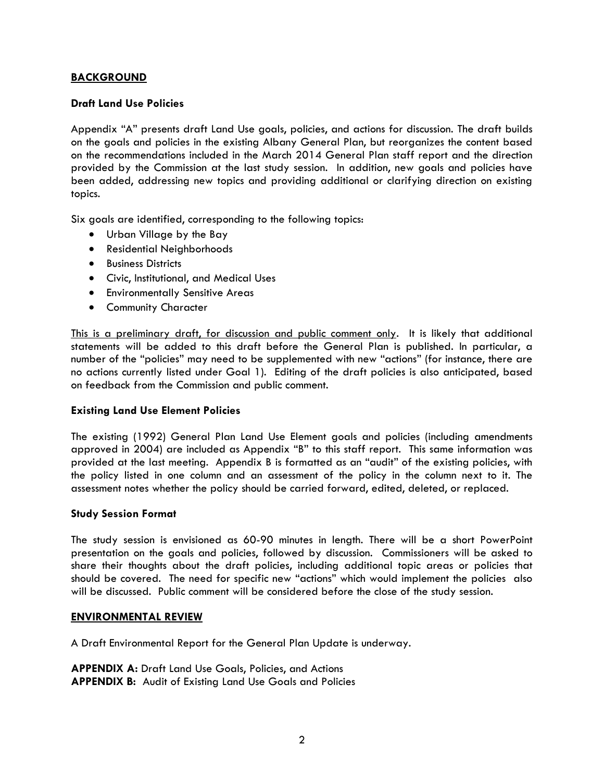## **BACKGROUND**

## **Draft Land Use Policies**

Appendix "A" presents draft Land Use goals, policies, and actions for discussion. The draft builds on the goals and policies in the existing Albany General Plan, but reorganizes the content based on the recommendations included in the March 2014 General Plan staff report and the direction provided by the Commission at the last study session. In addition, new goals and policies have been added, addressing new topics and providing additional or clarifying direction on existing topics.

Six goals are identified, corresponding to the following topics:

- Urban Village by the Bay
- Residential Neighborhoods
- **•** Business Districts
- Civic, Institutional, and Medical Uses
- Environmentally Sensitive Areas
- **•** Community Character

This is a preliminary draft, for discussion and public comment only. It is likely that additional statements will be added to this draft before the General Plan is published. In particular, a number of the "policies" may need to be supplemented with new "actions" (for instance, there are no actions currently listed under Goal 1). Editing of the draft policies is also anticipated, based on feedback from the Commission and public comment.

#### **Existing Land Use Element Policies**

The existing (1992) General Plan Land Use Element goals and policies (including amendments approved in 2004) are included as Appendix "B" to this staff report. This same information was provided at the last meeting. Appendix B is formatted as an "audit" of the existing policies, with the policy listed in one column and an assessment of the policy in the column next to it. The assessment notes whether the policy should be carried forward, edited, deleted, or replaced.

#### **Study Session Format**

The study session is envisioned as 60-90 minutes in length. There will be a short PowerPoint presentation on the goals and policies, followed by discussion. Commissioners will be asked to share their thoughts about the draft policies, including additional topic areas or policies that should be covered. The need for specific new "actions" which would implement the policies also will be discussed. Public comment will be considered before the close of the study session.

#### **ENVIRONMENTAL REVIEW**

A Draft Environmental Report for the General Plan Update is underway.

**APPENDIX A: Draft Land Use Goals, Policies, and Actions APPENDIX B:** Audit of Existing Land Use Goals and Policies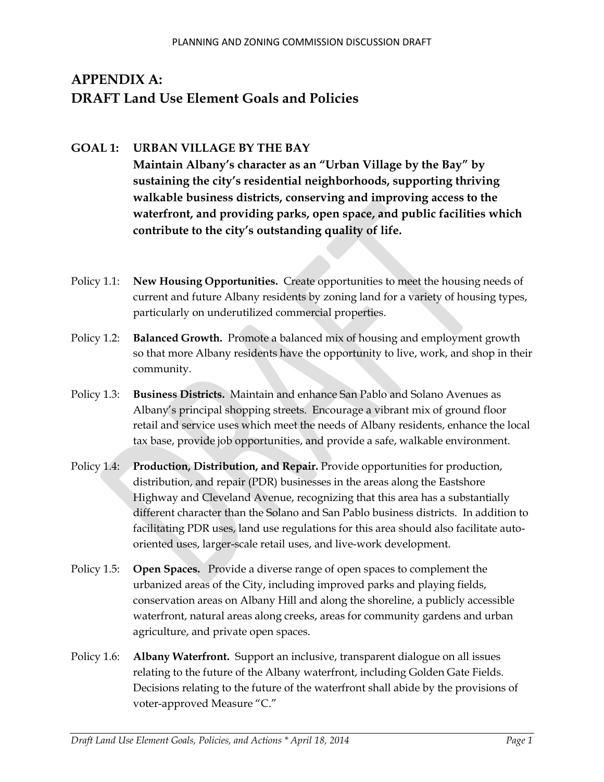## **APPENDIX A: DRAFT Land Use Element Goals and Policies**

## **GOAL 1: URBAN VILLAGE BY THE BAY**

**Maintain Albany's character as an "Urban Village by the Bay" by sustaining the city's residential neighborhoods, supporting thriving walkable business districts, conserving and improving access to the waterfront, and providing parks, open space, and public facilities which contribute to the city's outstanding quality of life.**

- Policy 1.1: **New Housing Opportunities.** Create opportunities to meet the housing needs of current and future Albany residents by zoning land for a variety of housing types, particularly on underutilized commercial properties.
- Policy 1.2: **Balanced Growth.** Promote a balanced mix of housing and employment growth so that more Albany residents have the opportunity to live, work, and shop in their community.
- Policy 1.3: **Business Districts.** Maintain and enhance San Pablo and Solano Avenues as Albany's principal shopping streets. Encourage a vibrant mix of ground floor retail and service uses which meet the needs of Albany residents, enhance the local tax base, provide job opportunities, and provide a safe, walkable environment.
- Policy 1.4: **Production, Distribution, and Repair.** Provide opportunities for production, distribution, and repair (PDR) businesses in the areas along the Eastshore Highway and Cleveland Avenue, recognizing that this area has a substantially different character than the Solano and San Pablo business districts. In addition to facilitating PDR uses, land use regulations for this area should also facilitate autooriented uses, larger-scale retail uses, and live-work development.
- Policy 1.5: **Open Spaces.** Provide a diverse range of open spaces to complement the urbanized areas of the City, including improved parks and playing fields, conservation areas on Albany Hill and along the shoreline, a publicly accessible waterfront, natural areas along creeks, areas for community gardens and urban agriculture, and private open spaces.
- Policy 1.6: **Albany Waterfront.** Support an inclusive, transparent dialogue on all issues relating to the future of the Albany waterfront, including Golden Gate Fields. Decisions relating to the future of the waterfront shall abide by the provisions of voter-approved Measure "C."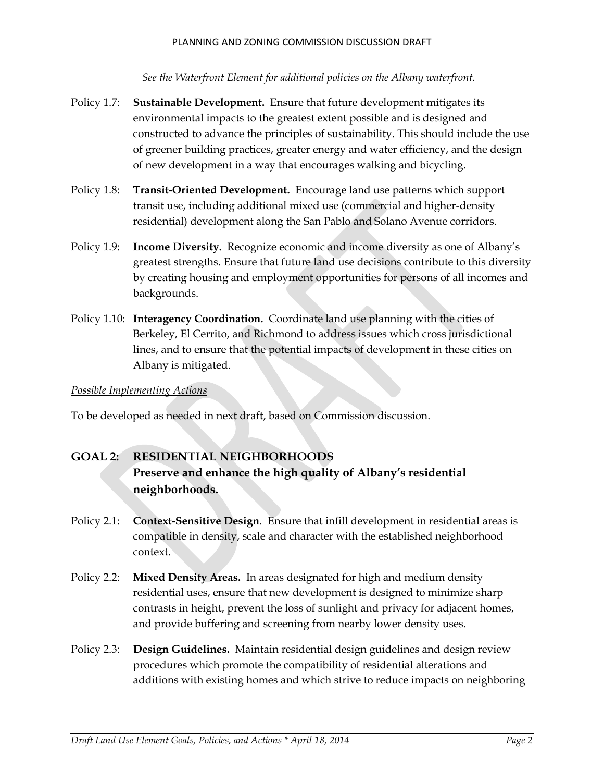*See the Waterfront Element for additional policies on the Albany waterfront.*

- Policy 1.7: **Sustainable Development.** Ensure that future development mitigates its environmental impacts to the greatest extent possible and is designed and constructed to advance the principles of sustainability. This should include the use of greener building practices, greater energy and water efficiency, and the design of new development in a way that encourages walking and bicycling.
- Policy 1.8: **Transit-Oriented Development.** Encourage land use patterns which support transit use, including additional mixed use (commercial and higher-density residential) development along the San Pablo and Solano Avenue corridors.
- Policy 1.9: **Income Diversity.** Recognize economic and income diversity as one of Albany's greatest strengths. Ensure that future land use decisions contribute to this diversity by creating housing and employment opportunities for persons of all incomes and backgrounds.
- Policy 1.10: **Interagency Coordination.** Coordinate land use planning with the cities of Berkeley, El Cerrito, and Richmond to address issues which cross jurisdictional lines, and to ensure that the potential impacts of development in these cities on Albany is mitigated.

## *Possible Implementing Actions*

To be developed as needed in next draft, based on Commission discussion.

## **GOAL 2: RESIDENTIAL NEIGHBORHOODS**

## **Preserve and enhance the high quality of Albany's residential neighborhoods.**

- Policy 2.1: **Context-Sensitive Design**. Ensure that infill development in residential areas is compatible in density, scale and character with the established neighborhood context.
- Policy 2.2: **Mixed Density Areas.** In areas designated for high and medium density residential uses, ensure that new development is designed to minimize sharp contrasts in height, prevent the loss of sunlight and privacy for adjacent homes, and provide buffering and screening from nearby lower density uses.
- Policy 2.3: **Design Guidelines.** Maintain residential design guidelines and design review procedures which promote the compatibility of residential alterations and additions with existing homes and which strive to reduce impacts on neighboring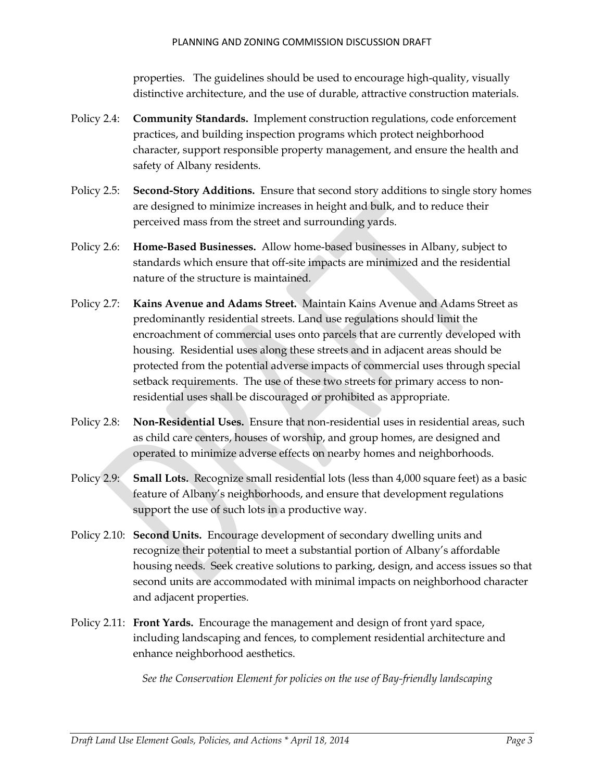properties. The guidelines should be used to encourage high-quality, visually distinctive architecture, and the use of durable, attractive construction materials.

- Policy 2.4: **Community Standards.** Implement construction regulations, code enforcement practices, and building inspection programs which protect neighborhood character, support responsible property management, and ensure the health and safety of Albany residents.
- Policy 2.5: **Second-Story Additions.** Ensure that second story additions to single story homes are designed to minimize increases in height and bulk, and to reduce their perceived mass from the street and surrounding yards.
- Policy 2.6: **Home-Based Businesses.** Allow home-based businesses in Albany, subject to standards which ensure that off-site impacts are minimized and the residential nature of the structure is maintained.
- Policy 2.7: **Kains Avenue and Adams Street.** Maintain Kains Avenue and Adams Street as predominantly residential streets. Land use regulations should limit the encroachment of commercial uses onto parcels that are currently developed with housing. Residential uses along these streets and in adjacent areas should be protected from the potential adverse impacts of commercial uses through special setback requirements. The use of these two streets for primary access to nonresidential uses shall be discouraged or prohibited as appropriate.
- Policy 2.8: **Non-Residential Uses.** Ensure that non-residential uses in residential areas, such as child care centers, houses of worship, and group homes, are designed and operated to minimize adverse effects on nearby homes and neighborhoods.
- Policy 2.9: **Small Lots.** Recognize small residential lots (less than 4,000 square feet) as a basic feature of Albany's neighborhoods, and ensure that development regulations support the use of such lots in a productive way.
- Policy 2.10: **Second Units.** Encourage development of secondary dwelling units and recognize their potential to meet a substantial portion of Albany's affordable housing needs. Seek creative solutions to parking, design, and access issues so that second units are accommodated with minimal impacts on neighborhood character and adjacent properties.
- Policy 2.11: **Front Yards.** Encourage the management and design of front yard space, including landscaping and fences, to complement residential architecture and enhance neighborhood aesthetics.

*See the Conservation Element for policies on the use of Bay-friendly landscaping*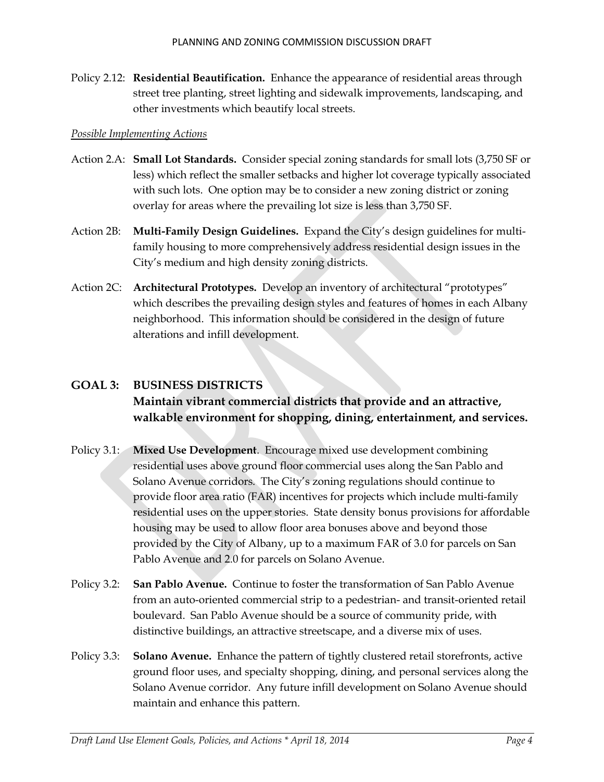Policy 2.12: **Residential Beautification.** Enhance the appearance of residential areas through street tree planting, street lighting and sidewalk improvements, landscaping, and other investments which beautify local streets.

## *Possible Implementing Actions*

- Action 2.A: **Small Lot Standards.** Consider special zoning standards for small lots (3,750 SF or less) which reflect the smaller setbacks and higher lot coverage typically associated with such lots. One option may be to consider a new zoning district or zoning overlay for areas where the prevailing lot size is less than 3,750 SF.
- Action 2B: **Multi-Family Design Guidelines.** Expand the City's design guidelines for multifamily housing to more comprehensively address residential design issues in the City's medium and high density zoning districts.
- Action 2C: **Architectural Prototypes.** Develop an inventory of architectural "prototypes" which describes the prevailing design styles and features of homes in each Albany neighborhood. This information should be considered in the design of future alterations and infill development.

## **GOAL 3: BUSINESS DISTRICTS Maintain vibrant commercial districts that provide and an attractive, walkable environment for shopping, dining, entertainment, and services.**

- Policy 3.1: **Mixed Use Development**. Encourage mixed use development combining residential uses above ground floor commercial uses along the San Pablo and Solano Avenue corridors. The City's zoning regulations should continue to provide floor area ratio (FAR) incentives for projects which include multi-family residential uses on the upper stories. State density bonus provisions for affordable housing may be used to allow floor area bonuses above and beyond those provided by the City of Albany, up to a maximum FAR of 3.0 for parcels on San Pablo Avenue and 2.0 for parcels on Solano Avenue.
- Policy 3.2: **San Pablo Avenue.** Continue to foster the transformation of San Pablo Avenue from an auto-oriented commercial strip to a pedestrian- and transit-oriented retail boulevard. San Pablo Avenue should be a source of community pride, with distinctive buildings, an attractive streetscape, and a diverse mix of uses.
- Policy 3.3: **Solano Avenue.** Enhance the pattern of tightly clustered retail storefronts, active ground floor uses, and specialty shopping, dining, and personal services along the Solano Avenue corridor. Any future infill development on Solano Avenue should maintain and enhance this pattern.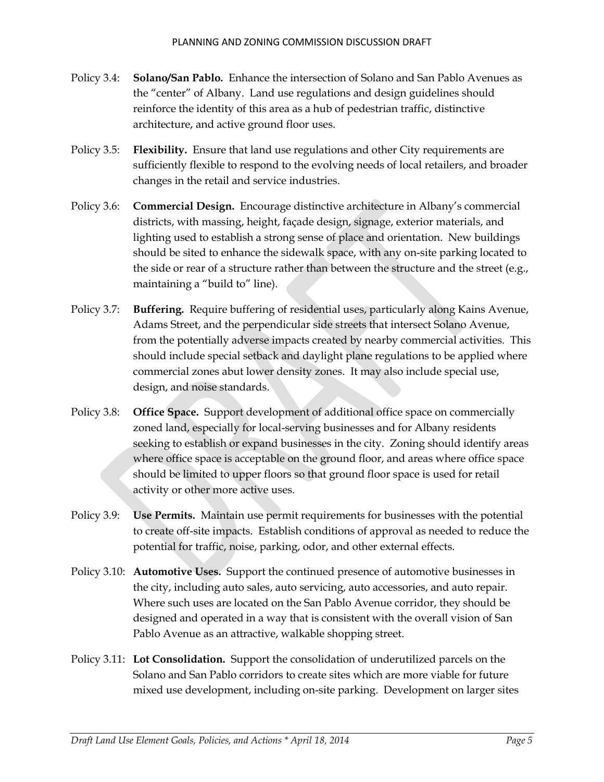- Policy 3.4: **Solano/San Pablo.** Enhance the intersection of Solano and San Pablo Avenues as the "center" of Albany. Land use regulations and design guidelines should reinforce the identity of this area as a hub of pedestrian traffic, distinctive architecture, and active ground floor uses.
- Policy 3.5: **Flexibility.** Ensure that land use regulations and other City requirements are sufficiently flexible to respond to the evolving needs of local retailers, and broader changes in the retail and service industries.
- Policy 3.6: **Commercial Design.** Encourage distinctive architecture in Albany's commercial districts, with massing, height, façade design, signage, exterior materials, and lighting used to establish a strong sense of place and orientation. New buildings should be sited to enhance the sidewalk space, with any on-site parking located to the side or rear of a structure rather than between the structure and the street (e.g., maintaining a "build to" line).
- Policy 3.7: **Buffering.** Require buffering of residential uses, particularly along Kains Avenue, Adams Street, and the perpendicular side streets that intersect Solano Avenue, from the potentially adverse impacts created by nearby commercial activities. This should include special setback and daylight plane regulations to be applied where commercial zones abut lower density zones. It may also include special use, design, and noise standards.
- Policy 3.8: **Office Space.** Support development of additional office space on commercially zoned land, especially for local-serving businesses and for Albany residents seeking to establish or expand businesses in the city. Zoning should identify areas where office space is acceptable on the ground floor, and areas where office space should be limited to upper floors so that ground floor space is used for retail activity or other more active uses.
- Policy 3.9: **Use Permits.** Maintain use permit requirements for businesses with the potential to create off-site impacts. Establish conditions of approval as needed to reduce the potential for traffic, noise, parking, odor, and other external effects.
- Policy 3.10: **Automotive Uses.** Support the continued presence of automotive businesses in the city, including auto sales, auto servicing, auto accessories, and auto repair. Where such uses are located on the San Pablo Avenue corridor, they should be designed and operated in a way that is consistent with the overall vision of San Pablo Avenue as an attractive, walkable shopping street.
- Policy 3.11: **Lot Consolidation.** Support the consolidation of underutilized parcels on the Solano and San Pablo corridors to create sites which are more viable for future mixed use development, including on-site parking. Development on larger sites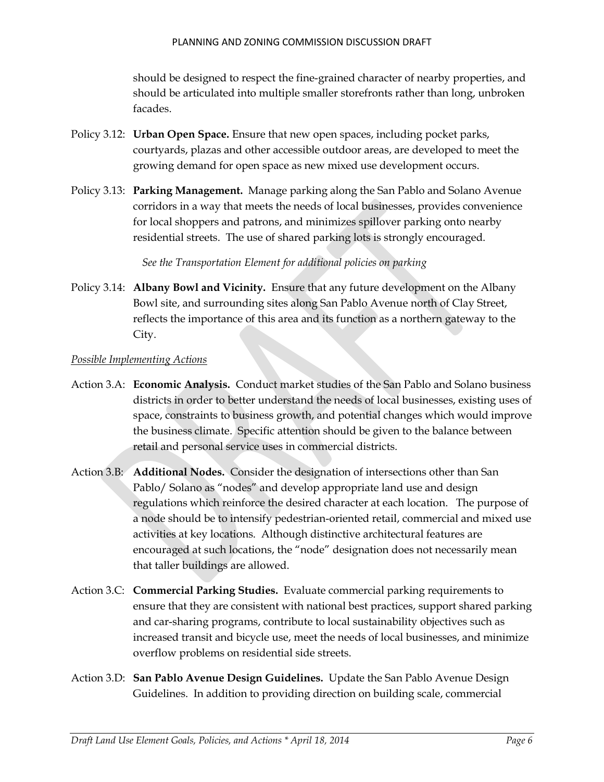should be designed to respect the fine-grained character of nearby properties, and should be articulated into multiple smaller storefronts rather than long, unbroken facades.

- Policy 3.12: **Urban Open Space.** Ensure that new open spaces, including pocket parks, courtyards, plazas and other accessible outdoor areas, are developed to meet the growing demand for open space as new mixed use development occurs.
- Policy 3.13: **Parking Management.** Manage parking along the San Pablo and Solano Avenue corridors in a way that meets the needs of local businesses, provides convenience for local shoppers and patrons, and minimizes spillover parking onto nearby residential streets. The use of shared parking lots is strongly encouraged.

*See the Transportation Element for additional policies on parking*

Policy 3.14: **Albany Bowl and Vicinity.** Ensure that any future development on the Albany Bowl site, and surrounding sites along San Pablo Avenue north of Clay Street, reflects the importance of this area and its function as a northern gateway to the City.

## *Possible Implementing Actions*

- Action 3.A: **Economic Analysis.** Conduct market studies of the San Pablo and Solano business districts in order to better understand the needs of local businesses, existing uses of space, constraints to business growth, and potential changes which would improve the business climate. Specific attention should be given to the balance between retail and personal service uses in commercial districts.
- Action 3.B: **Additional Nodes.** Consider the designation of intersections other than San Pablo/ Solano as "nodes" and develop appropriate land use and design regulations which reinforce the desired character at each location. The purpose of a node should be to intensify pedestrian-oriented retail, commercial and mixed use activities at key locations. Although distinctive architectural features are encouraged at such locations, the "node" designation does not necessarily mean that taller buildings are allowed.
- Action 3.C: **Commercial Parking Studies.** Evaluate commercial parking requirements to ensure that they are consistent with national best practices, support shared parking and car-sharing programs, contribute to local sustainability objectives such as increased transit and bicycle use, meet the needs of local businesses, and minimize overflow problems on residential side streets.
- Action 3.D: **San Pablo Avenue Design Guidelines.** Update the San Pablo Avenue Design Guidelines. In addition to providing direction on building scale, commercial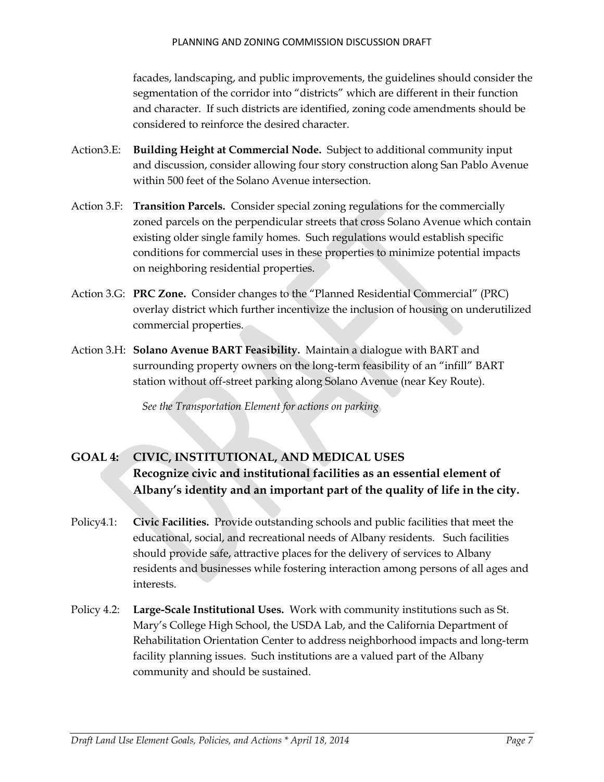facades, landscaping, and public improvements, the guidelines should consider the segmentation of the corridor into "districts" which are different in their function and character. If such districts are identified, zoning code amendments should be considered to reinforce the desired character.

- Action3.E: **Building Height at Commercial Node.** Subject to additional community input and discussion, consider allowing four story construction along San Pablo Avenue within 500 feet of the Solano Avenue intersection.
- Action 3.F: **Transition Parcels.** Consider special zoning regulations for the commercially zoned parcels on the perpendicular streets that cross Solano Avenue which contain existing older single family homes. Such regulations would establish specific conditions for commercial uses in these properties to minimize potential impacts on neighboring residential properties.
- Action 3.G: **PRC Zone.** Consider changes to the "Planned Residential Commercial" (PRC) overlay district which further incentivize the inclusion of housing on underutilized commercial properties.
- Action 3.H: **Solano Avenue BART Feasibility.** Maintain a dialogue with BART and surrounding property owners on the long-term feasibility of an "infill" BART station without off-street parking along Solano Avenue (near Key Route).

*See the Transportation Element for actions on parking* 

## **GOAL 4: CIVIC, INSTITUTIONAL, AND MEDICAL USES Recognize civic and institutional facilities as an essential element of Albany's identity and an important part of the quality of life in the city.**

- Policy4.1: **Civic Facilities.** Provide outstanding schools and public facilities that meet the educational, social, and recreational needs of Albany residents. Such facilities should provide safe, attractive places for the delivery of services to Albany residents and businesses while fostering interaction among persons of all ages and interests.
- Policy 4.2: **Large-Scale Institutional Uses.** Work with community institutions such as St. Mary's College High School, the USDA Lab, and the California Department of Rehabilitation Orientation Center to address neighborhood impacts and long-term facility planning issues. Such institutions are a valued part of the Albany community and should be sustained.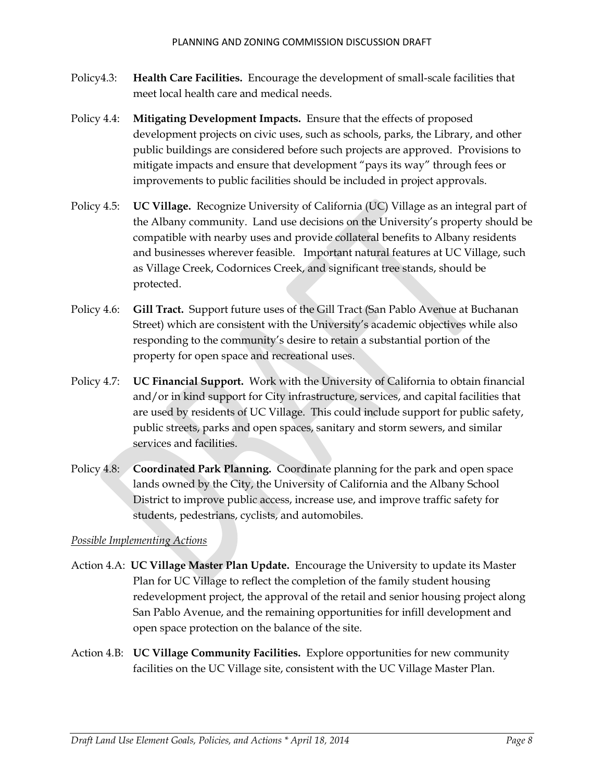- Policy4.3: **Health Care Facilities.** Encourage the development of small-scale facilities that meet local health care and medical needs.
- Policy 4.4: **Mitigating Development Impacts.** Ensure that the effects of proposed development projects on civic uses, such as schools, parks, the Library, and other public buildings are considered before such projects are approved. Provisions to mitigate impacts and ensure that development "pays its way" through fees or improvements to public facilities should be included in project approvals.
- Policy 4.5: **UC Village.** Recognize University of California (UC) Village as an integral part of the Albany community. Land use decisions on the University's property should be compatible with nearby uses and provide collateral benefits to Albany residents and businesses wherever feasible. Important natural features at UC Village, such as Village Creek, Codornices Creek, and significant tree stands, should be protected.
- Policy 4.6: **Gill Tract.** Support future uses of the Gill Tract (San Pablo Avenue at Buchanan Street) which are consistent with the University's academic objectives while also responding to the community's desire to retain a substantial portion of the property for open space and recreational uses.
- Policy 4.7: **UC Financial Support.** Work with the University of California to obtain financial and/or in kind support for City infrastructure, services, and capital facilities that are used by residents of UC Village. This could include support for public safety, public streets, parks and open spaces, sanitary and storm sewers, and similar services and facilities.
- Policy 4.8: **Coordinated Park Planning.** Coordinate planning for the park and open space lands owned by the City, the University of California and the Albany School District to improve public access, increase use, and improve traffic safety for students, pedestrians, cyclists, and automobiles.

## *Possible Implementing Actions*

- Action 4.A: **UC Village Master Plan Update.** Encourage the University to update its Master Plan for UC Village to reflect the completion of the family student housing redevelopment project, the approval of the retail and senior housing project along San Pablo Avenue, and the remaining opportunities for infill development and open space protection on the balance of the site.
- Action 4.B: **UC Village Community Facilities.** Explore opportunities for new community facilities on the UC Village site, consistent with the UC Village Master Plan.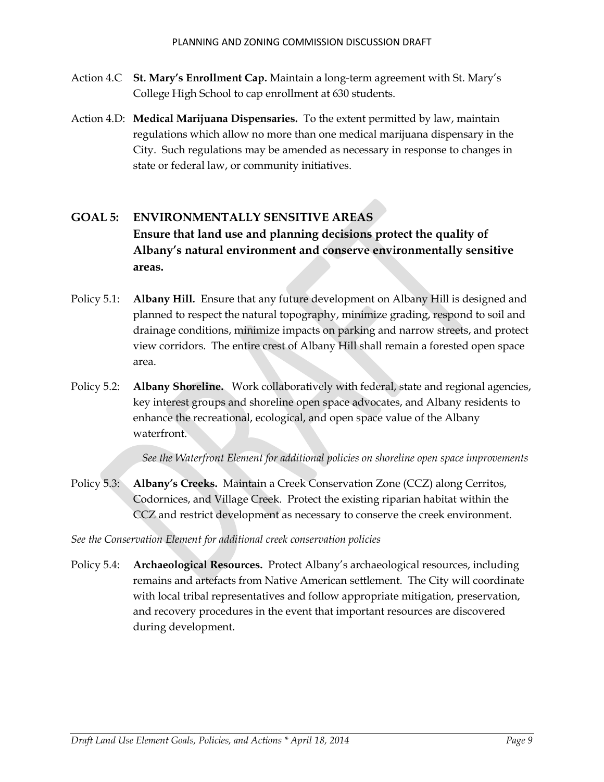- Action 4.C **St. Mary's Enrollment Cap.** Maintain a long-term agreement with St. Mary's College High School to cap enrollment at 630 students.
- Action 4.D: **Medical Marijuana Dispensaries.** To the extent permitted by law, maintain regulations which allow no more than one medical marijuana dispensary in the City. Such regulations may be amended as necessary in response to changes in state or federal law, or community initiatives.

## **GOAL 5: ENVIRONMENTALLY SENSITIVE AREAS Ensure that land use and planning decisions protect the quality of Albany's natural environment and conserve environmentally sensitive areas.**

- Policy 5.1: **Albany Hill.** Ensure that any future development on Albany Hill is designed and planned to respect the natural topography, minimize grading, respond to soil and drainage conditions, minimize impacts on parking and narrow streets, and protect view corridors. The entire crest of Albany Hill shall remain a forested open space area.
- Policy 5.2: **Albany Shoreline.** Work collaboratively with federal, state and regional agencies, key interest groups and shoreline open space advocates, and Albany residents to enhance the recreational, ecological, and open space value of the Albany waterfront.

*See the Waterfront Element for additional policies on shoreline open space improvements*

Policy 5.3: **Albany's Creeks.** Maintain a Creek Conservation Zone (CCZ) along Cerritos, Codornices, and Village Creek. Protect the existing riparian habitat within the CCZ and restrict development as necessary to conserve the creek environment.

## *See the Conservation Element for additional creek conservation policies*

Policy 5.4: **Archaeological Resources.** Protect Albany's archaeological resources, including remains and artefacts from Native American settlement. The City will coordinate with local tribal representatives and follow appropriate mitigation, preservation, and recovery procedures in the event that important resources are discovered during development.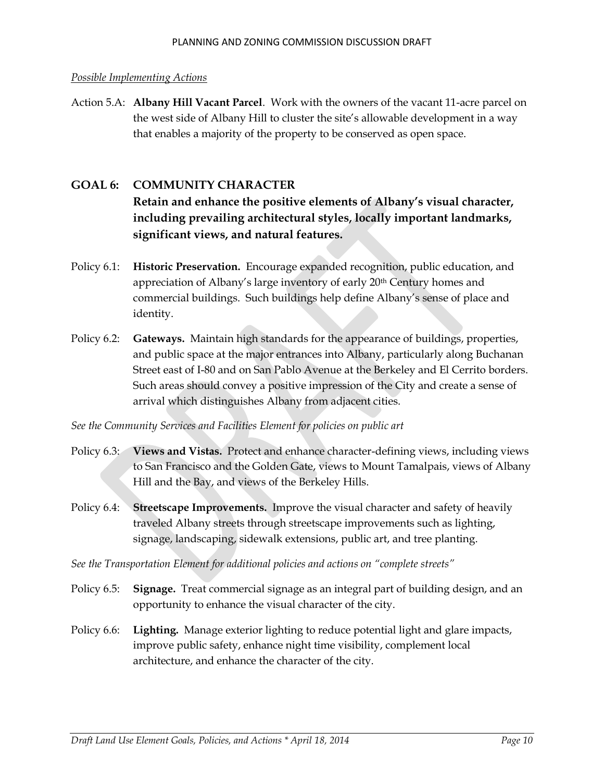## *Possible Implementing Actions*

Action 5.A: **Albany Hill Vacant Parcel**. Work with the owners of the vacant 11-acre parcel on the west side of Albany Hill to cluster the site's allowable development in a way that enables a majority of the property to be conserved as open space.

## **GOAL 6: COMMUNITY CHARACTER**

**Retain and enhance the positive elements of Albany's visual character, including prevailing architectural styles, locally important landmarks, significant views, and natural features.**

- Policy 6.1: **Historic Preservation.** Encourage expanded recognition, public education, and appreciation of Albany's large inventory of early 20th Century homes and commercial buildings. Such buildings help define Albany's sense of place and identity.
- Policy 6.2: **Gateways.** Maintain high standards for the appearance of buildings, properties, and public space at the major entrances into Albany, particularly along Buchanan Street east of I-80 and on San Pablo Avenue at the Berkeley and El Cerrito borders. Such areas should convey a positive impression of the City and create a sense of arrival which distinguishes Albany from adjacent cities.

## *See the Community Services and Facilities Element for policies on public art*

- Policy 6.3: **Views and Vistas.** Protect and enhance character-defining views, including views to San Francisco and the Golden Gate, views to Mount Tamalpais, views of Albany Hill and the Bay, and views of the Berkeley Hills.
- Policy 6.4: **Streetscape Improvements.** Improve the visual character and safety of heavily traveled Albany streets through streetscape improvements such as lighting, signage, landscaping, sidewalk extensions, public art, and tree planting.

*See the Transportation Element for additional policies and actions on "complete streets"*

- Policy 6.5: **Signage.** Treat commercial signage as an integral part of building design, and an opportunity to enhance the visual character of the city.
- Policy 6.6: **Lighting.** Manage exterior lighting to reduce potential light and glare impacts, improve public safety, enhance night time visibility, complement local architecture, and enhance the character of the city.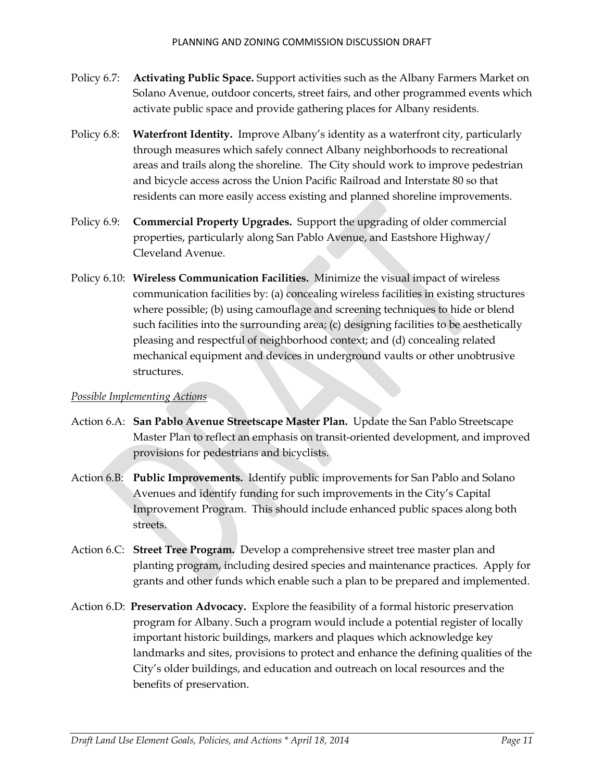- Policy 6.7: **Activating Public Space.** Support activities such as the Albany Farmers Market on Solano Avenue, outdoor concerts, street fairs, and other programmed events which activate public space and provide gathering places for Albany residents.
- Policy 6.8: **Waterfront Identity.** Improve Albany's identity as a waterfront city, particularly through measures which safely connect Albany neighborhoods to recreational areas and trails along the shoreline. The City should work to improve pedestrian and bicycle access across the Union Pacific Railroad and Interstate 80 so that residents can more easily access existing and planned shoreline improvements.
- Policy 6.9: **Commercial Property Upgrades.** Support the upgrading of older commercial properties, particularly along San Pablo Avenue, and Eastshore Highway/ Cleveland Avenue.
- Policy 6.10: **Wireless Communication Facilities.** Minimize the visual impact of wireless communication facilities by: (a) concealing wireless facilities in existing structures where possible; (b) using camouflage and screening techniques to hide or blend such facilities into the surrounding area; (c) designing facilities to be aesthetically pleasing and respectful of neighborhood context; and (d) concealing related mechanical equipment and devices in underground vaults or other unobtrusive structures.

## *Possible Implementing Actions*

- Action 6.A: **San Pablo Avenue Streetscape Master Plan.** Update the San Pablo Streetscape Master Plan to reflect an emphasis on transit-oriented development, and improved provisions for pedestrians and bicyclists.
- Action 6.B: **Public Improvements.** Identify public improvements for San Pablo and Solano Avenues and identify funding for such improvements in the City's Capital Improvement Program. This should include enhanced public spaces along both streets.
- Action 6.C: **Street Tree Program.** Develop a comprehensive street tree master plan and planting program, including desired species and maintenance practices. Apply for grants and other funds which enable such a plan to be prepared and implemented.
- Action 6.D: **Preservation Advocacy.** Explore the feasibility of a formal historic preservation program for Albany. Such a program would include a potential register of locally important historic buildings, markers and plaques which acknowledge key landmarks and sites, provisions to protect and enhance the defining qualities of the City's older buildings, and education and outreach on local resources and the benefits of preservation.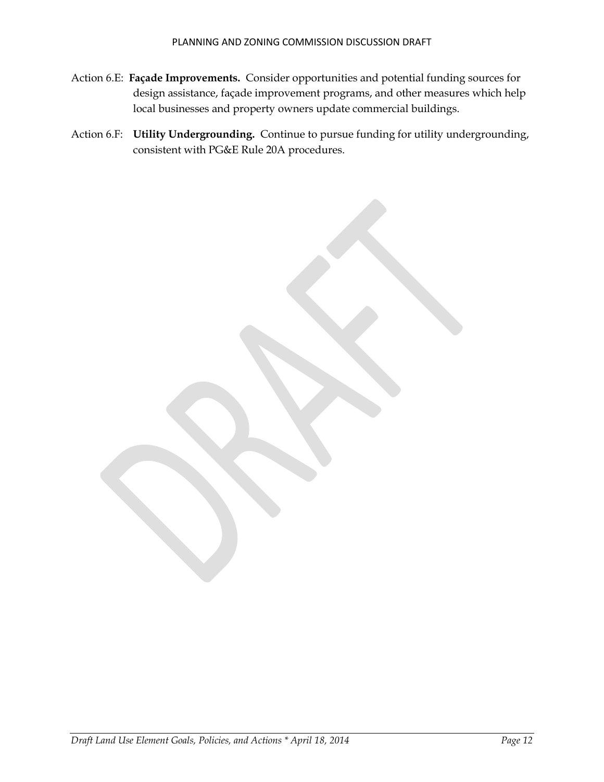- Action 6.E: **Façade Improvements.** Consider opportunities and potential funding sources for design assistance, façade improvement programs, and other measures which help local businesses and property owners update commercial buildings.
- Action 6.F: **Utility Undergrounding.** Continue to pursue funding for utility undergrounding, consistent with PG&E Rule 20A procedures.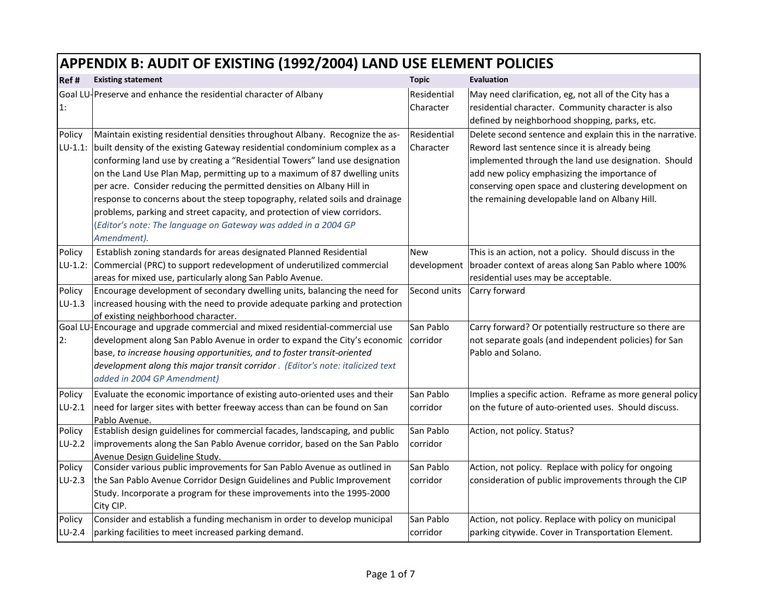| Ref#                | <b>Existing statement</b>                                                                                                                                                                                                                                                                                                                                                                                                                                                                                                                                                                                                                   | <b>Topic</b>              | <b>Evaluation</b>                                                                                                                                                                                                                                                                                                            |
|---------------------|---------------------------------------------------------------------------------------------------------------------------------------------------------------------------------------------------------------------------------------------------------------------------------------------------------------------------------------------------------------------------------------------------------------------------------------------------------------------------------------------------------------------------------------------------------------------------------------------------------------------------------------------|---------------------------|------------------------------------------------------------------------------------------------------------------------------------------------------------------------------------------------------------------------------------------------------------------------------------------------------------------------------|
| 1:                  | Goal LU- Preserve and enhance the residential character of Albany                                                                                                                                                                                                                                                                                                                                                                                                                                                                                                                                                                           | Residential<br>Character  | May need clarification, eg, not all of the City has a<br>residential character. Community character is also<br>defined by neighborhood shopping, parks, etc.                                                                                                                                                                 |
| Policy<br>$LU-1.1:$ | Maintain existing residential densities throughout Albany. Recognize the as-<br>built density of the existing Gateway residential condominium complex as a<br>conforming land use by creating a "Residential Towers" land use designation<br>on the Land Use Plan Map, permitting up to a maximum of 87 dwelling units<br>per acre. Consider reducing the permitted densities on Albany Hill in<br>response to concerns about the steep topography, related soils and drainage<br>problems, parking and street capacity, and protection of view corridors.<br>(Editor's note: The language on Gateway was added in a 2004 GP<br>Amendment). | Residential<br>Character  | Delete second sentence and explain this in the narrative.<br>Reword last sentence since it is already being<br>implemented through the land use designation. Should<br>add new policy emphasizing the importance of<br>conserving open space and clustering development on<br>the remaining developable land on Albany Hill. |
| Policy<br>$LU-1.2:$ | Establish zoning standards for areas designated Planned Residential<br>Commercial (PRC) to support redevelopment of underutilized commercial<br>areas for mixed use, particularly along San Pablo Avenue.                                                                                                                                                                                                                                                                                                                                                                                                                                   | <b>New</b><br>development | This is an action, not a policy. Should discuss in the<br>broader context of areas along San Pablo where 100%<br>residential uses may be acceptable.                                                                                                                                                                         |
| Policy<br>$LU-1.3$  | Encourage development of secondary dwelling units, balancing the need for<br>increased housing with the need to provide adequate parking and protection<br>of existing neighborhood character.                                                                                                                                                                                                                                                                                                                                                                                                                                              | Second units              | Carry forward                                                                                                                                                                                                                                                                                                                |
| Goal LU-<br>2:      | Encourage and upgrade commercial and mixed residential-commercial use<br>development along San Pablo Avenue in order to expand the City's economic<br>base, to increase housing opportunities, and to foster transit-oriented<br>development along this major transit corridor . (Editor's note: italicized text<br>added in 2004 GP Amendment)                                                                                                                                                                                                                                                                                             | San Pablo<br>corridor     | Carry forward? Or potentially restructure so there are<br>not separate goals (and independent policies) for San<br>Pablo and Solano.                                                                                                                                                                                         |
| Policy<br>$LU-2.1$  | Evaluate the economic importance of existing auto-oriented uses and their<br>need for larger sites with better freeway access than can be found on San<br>Pablo Avenue.                                                                                                                                                                                                                                                                                                                                                                                                                                                                     | San Pablo<br>corridor     | Implies a specific action. Reframe as more general policy<br>on the future of auto-oriented uses. Should discuss.                                                                                                                                                                                                            |
| Policy<br>$LU-2.2$  | Establish design guidelines for commercial facades, landscaping, and public<br>improvements along the San Pablo Avenue corridor, based on the San Pablo<br>Avenue Design Guideline Study.                                                                                                                                                                                                                                                                                                                                                                                                                                                   | San Pablo<br>corridor     | Action, not policy. Status?                                                                                                                                                                                                                                                                                                  |
| Policy<br>$LU-2.3$  | Consider various public improvements for San Pablo Avenue as outlined in<br>the San Pablo Avenue Corridor Design Guidelines and Public Improvement<br>Study. Incorporate a program for these improvements into the 1995-2000<br>City CIP.                                                                                                                                                                                                                                                                                                                                                                                                   | San Pablo<br>corridor     | Action, not policy. Replace with policy for ongoing<br>consideration of public improvements through the CIP                                                                                                                                                                                                                  |
| Policy<br>$LU-2.4$  | Consider and establish a funding mechanism in order to develop municipal<br>parking facilities to meet increased parking demand.                                                                                                                                                                                                                                                                                                                                                                                                                                                                                                            | San Pablo<br>corridor     | Action, not policy. Replace with policy on municipal<br>parking citywide. Cover in Transportation Element.                                                                                                                                                                                                                   |

┑

# **APPENDIX B: AUDIT OF EXISTING (1992/2004) LAND USE ELEMENT POLICIES**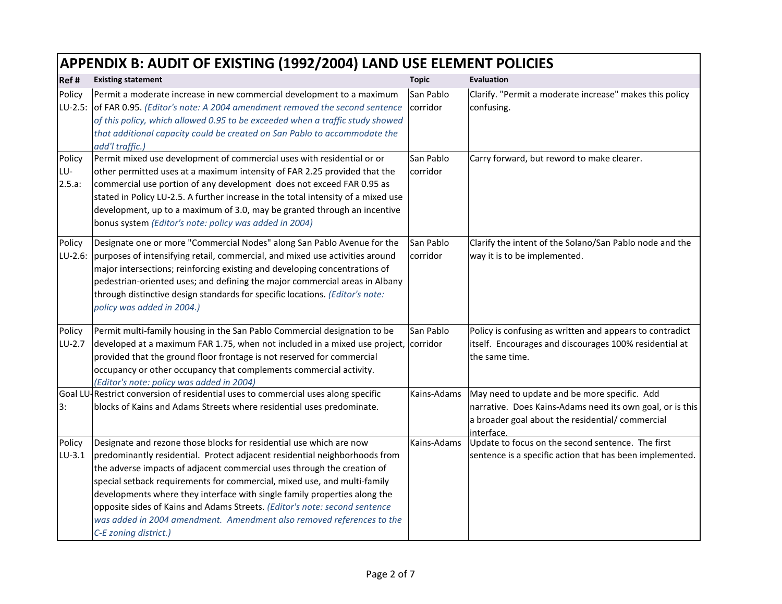|                         | APPENDIX B: AUDIT OF EXISTING (1992/2004) LAND USE ELEMENT POLICIES                                                                                                                                                                                                                                                                                                                                                                                                                                                                                                   |                       |                                                                                                                                                                            |  |
|-------------------------|-----------------------------------------------------------------------------------------------------------------------------------------------------------------------------------------------------------------------------------------------------------------------------------------------------------------------------------------------------------------------------------------------------------------------------------------------------------------------------------------------------------------------------------------------------------------------|-----------------------|----------------------------------------------------------------------------------------------------------------------------------------------------------------------------|--|
| Ref#                    | <b>Existing statement</b>                                                                                                                                                                                                                                                                                                                                                                                                                                                                                                                                             | <b>Topic</b>          | Evaluation                                                                                                                                                                 |  |
| Policy<br>LU-2.5:       | Permit a moderate increase in new commercial development to a maximum<br>of FAR 0.95. (Editor's note: A 2004 amendment removed the second sentence<br>of this policy, which allowed 0.95 to be exceeded when a traffic study showed<br>that additional capacity could be created on San Pablo to accommodate the<br>add'I traffic.)                                                                                                                                                                                                                                   | San Pablo<br>corridor | Clarify. "Permit a moderate increase" makes this policy<br>confusing.                                                                                                      |  |
| Policy<br>LU-<br>2.5.a: | Permit mixed use development of commercial uses with residential or or<br>other permitted uses at a maximum intensity of FAR 2.25 provided that the<br>commercial use portion of any development does not exceed FAR 0.95 as<br>stated in Policy LU-2.5. A further increase in the total intensity of a mixed use<br>development, up to a maximum of 3.0, may be granted through an incentive<br>bonus system (Editor's note: policy was added in 2004)                                                                                                               | San Pablo<br>corridor | Carry forward, but reword to make clearer.                                                                                                                                 |  |
| Policy<br>LU-2.6:       | Designate one or more "Commercial Nodes" along San Pablo Avenue for the<br>purposes of intensifying retail, commercial, and mixed use activities around<br>major intersections; reinforcing existing and developing concentrations of<br>pedestrian-oriented uses; and defining the major commercial areas in Albany<br>through distinctive design standards for specific locations. (Editor's note:<br>policy was added in 2004.)                                                                                                                                    | San Pablo<br>corridor | Clarify the intent of the Solano/San Pablo node and the<br>way it is to be implemented.                                                                                    |  |
| Policy<br>LU-2.7        | Permit multi-family housing in the San Pablo Commercial designation to be<br>developed at a maximum FAR 1.75, when not included in a mixed use project, corridor<br>provided that the ground floor frontage is not reserved for commercial<br>occupancy or other occupancy that complements commercial activity.<br>(Editor's note: policy was added in 2004)                                                                                                                                                                                                         | San Pablo             | Policy is confusing as written and appears to contradict<br>itself. Encourages and discourages 100% residential at<br>the same time.                                       |  |
| 3:                      | Goal LU-Restrict conversion of residential uses to commercial uses along specific<br>blocks of Kains and Adams Streets where residential uses predominate.                                                                                                                                                                                                                                                                                                                                                                                                            | Kains-Adams           | May need to update and be more specific. Add<br>narrative. Does Kains-Adams need its own goal, or is this<br>a broader goal about the residential/commercial<br>interface. |  |
| Policy<br>$LU-3.1$      | Designate and rezone those blocks for residential use which are now<br>predominantly residential. Protect adjacent residential neighborhoods from<br>the adverse impacts of adjacent commercial uses through the creation of<br>special setback requirements for commercial, mixed use, and multi-family<br>developments where they interface with single family properties along the<br>opposite sides of Kains and Adams Streets. (Editor's note: second sentence<br>was added in 2004 amendment. Amendment also removed references to the<br>C-E zoning district.) | Kains-Adams           | Update to focus on the second sentence. The first<br>sentence is a specific action that has been implemented.                                                              |  |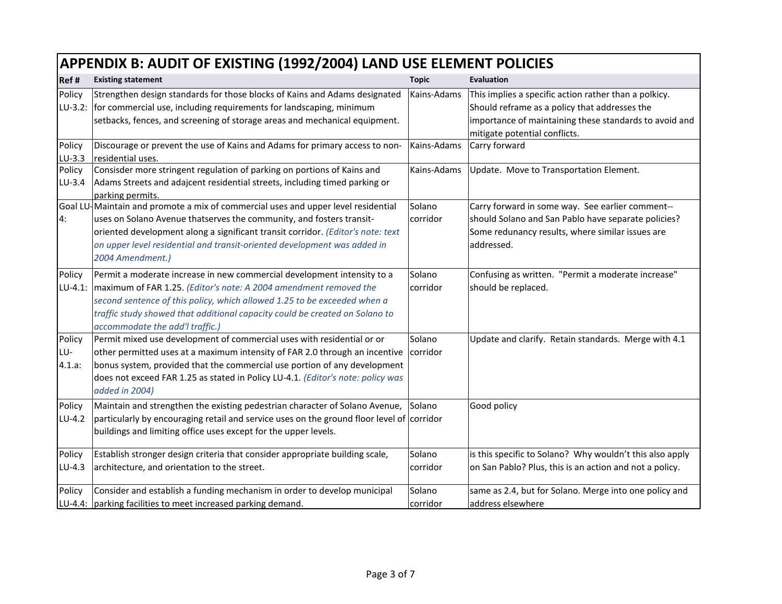|                         | APPENDIX B: AUDIT OF EXISTING (1992/2004) LAND USE ELEMENT POLICIES                                                                                                                                                                                                                                                                          |                    |                                                                                                                                                                                                   |  |
|-------------------------|----------------------------------------------------------------------------------------------------------------------------------------------------------------------------------------------------------------------------------------------------------------------------------------------------------------------------------------------|--------------------|---------------------------------------------------------------------------------------------------------------------------------------------------------------------------------------------------|--|
| Ref#                    | <b>Existing statement</b>                                                                                                                                                                                                                                                                                                                    | <b>Topic</b>       | Evaluation                                                                                                                                                                                        |  |
| Policy<br>LU-3.2:       | Strengthen design standards for those blocks of Kains and Adams designated<br>for commercial use, including requirements for landscaping, minimum<br>setbacks, fences, and screening of storage areas and mechanical equipment.                                                                                                              | Kains-Adams        | This implies a specific action rather than a polkicy.<br>Should reframe as a policy that addresses the<br>importance of maintaining these standards to avoid and<br>mitigate potential conflicts. |  |
| Policy<br>$LU-3.3$      | Discourage or prevent the use of Kains and Adams for primary access to non-<br>residential uses.                                                                                                                                                                                                                                             | Kains-Adams        | Carry forward                                                                                                                                                                                     |  |
| Policy<br>$LU-3.4$      | Consisder more stringent regulation of parking on portions of Kains and<br>Adams Streets and adajcent residential streets, including timed parking or<br>parking permits.                                                                                                                                                                    | Kains-Adams        | Update. Move to Transportation Element.                                                                                                                                                           |  |
| 4:                      | Goal LU-Maintain and promote a mix of commercial uses and upper level residential<br>uses on Solano Avenue thatserves the community, and fosters transit-<br>oriented development along a significant transit corridor. (Editor's note: text<br>on upper level residential and transit-oriented development was added in<br>2004 Amendment.) | Solano<br>corridor | Carry forward in some way. See earlier comment--<br>should Solano and San Pablo have separate policies?<br>Some redunancy results, where similar issues are<br>addressed.                         |  |
| Policy<br>LU-4.1:       | Permit a moderate increase in new commercial development intensity to a<br>maximum of FAR 1.25. (Editor's note: A 2004 amendment removed the<br>second sentence of this policy, which allowed 1.25 to be exceeded when a<br>traffic study showed that additional capacity could be created on Solano to<br>accommodate the add'l traffic.)   | Solano<br>corridor | Confusing as written. "Permit a moderate increase"<br>should be replaced.                                                                                                                         |  |
| Policy<br>LU-<br>4.1.a: | Permit mixed use development of commercial uses with residential or or<br>other permitted uses at a maximum intensity of FAR 2.0 through an incentive<br>bonus system, provided that the commercial use portion of any development<br>does not exceed FAR 1.25 as stated in Policy LU-4.1. (Editor's note: policy was<br>added in 2004)      | Solano<br>corridor | Update and clarify. Retain standards. Merge with 4.1                                                                                                                                              |  |
| Policy<br>LU-4.2        | Maintain and strengthen the existing pedestrian character of Solano Avenue,<br>particularly by encouraging retail and service uses on the ground floor level of corridor<br>buildings and limiting office uses except for the upper levels.                                                                                                  | Solano             | Good policy                                                                                                                                                                                       |  |
| Policy<br>$LU-4.3$      | Establish stronger design criteria that consider appropriate building scale,<br>architecture, and orientation to the street.                                                                                                                                                                                                                 | Solano<br>corridor | is this specific to Solano? Why wouldn't this also apply<br>on San Pablo? Plus, this is an action and not a policy.                                                                               |  |
| Policy                  | Consider and establish a funding mechanism in order to develop municipal<br>LU-4.4: parking facilities to meet increased parking demand.                                                                                                                                                                                                     | Solano<br>corridor | same as 2.4, but for Solano. Merge into one policy and<br>address elsewhere                                                                                                                       |  |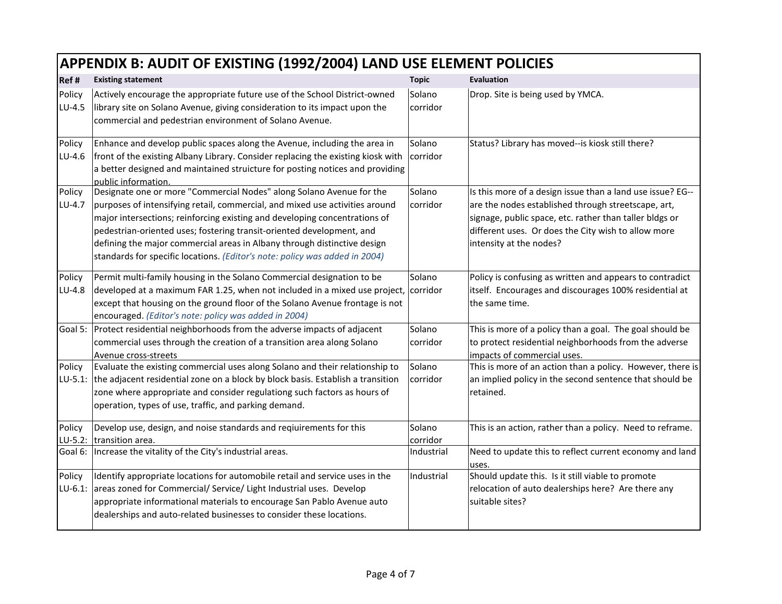|                   | APPENDIX B: AUDIT OF EXISTING (1992/2004) LAND USE ELEMENT POLICIES                                                                                                                                                                                                                                                                                                                                                                                                    |                    |                                                                                                                                                                                                                                                                |  |
|-------------------|------------------------------------------------------------------------------------------------------------------------------------------------------------------------------------------------------------------------------------------------------------------------------------------------------------------------------------------------------------------------------------------------------------------------------------------------------------------------|--------------------|----------------------------------------------------------------------------------------------------------------------------------------------------------------------------------------------------------------------------------------------------------------|--|
| Ref#              | <b>Existing statement</b>                                                                                                                                                                                                                                                                                                                                                                                                                                              | <b>Topic</b>       | Evaluation                                                                                                                                                                                                                                                     |  |
| Policy<br>LU-4.5  | Actively encourage the appropriate future use of the School District-owned<br>library site on Solano Avenue, giving consideration to its impact upon the<br>commercial and pedestrian environment of Solano Avenue.                                                                                                                                                                                                                                                    | Solano<br>corridor | Drop. Site is being used by YMCA.                                                                                                                                                                                                                              |  |
| Policy<br>LU-4.6  | Enhance and develop public spaces along the Avenue, including the area in<br>front of the existing Albany Library. Consider replacing the existing kiosk with<br>a better designed and maintained struicture for posting notices and providing<br>public information                                                                                                                                                                                                   | Solano<br>corridor | Status? Library has moved--is kiosk still there?                                                                                                                                                                                                               |  |
| Policy<br>LU-4.7  | Designate one or more "Commercial Nodes" along Solano Avenue for the<br>purposes of intensifying retail, commercial, and mixed use activities around<br>major intersections; reinforcing existing and developing concentrations of<br>pedestrian-oriented uses; fostering transit-oriented development, and<br>defining the major commercial areas in Albany through distinctive design<br>standards for specific locations. (Editor's note: policy was added in 2004) | Solano<br>corridor | Is this more of a design issue than a land use issue? EG--<br>are the nodes established through streetscape, art,<br>signage, public space, etc. rather than taller bldgs or<br>different uses. Or does the City wish to allow more<br>intensity at the nodes? |  |
| Policy<br>LU-4.8  | Permit multi-family housing in the Solano Commercial designation to be<br>developed at a maximum FAR 1.25, when not included in a mixed use project, corridor<br>except that housing on the ground floor of the Solano Avenue frontage is not<br>encouraged. (Editor's note: policy was added in 2004)                                                                                                                                                                 | Solano             | Policy is confusing as written and appears to contradict<br>itself. Encourages and discourages 100% residential at<br>the same time.                                                                                                                           |  |
| Goal 5:           | Protect residential neighborhoods from the adverse impacts of adjacent<br>commercial uses through the creation of a transition area along Solano<br>Avenue cross-streets                                                                                                                                                                                                                                                                                               | Solano<br>corridor | This is more of a policy than a goal. The goal should be<br>to protect residential neighborhoods from the adverse<br>impacts of commercial uses.                                                                                                               |  |
| Policy<br>LU-5.1: | Evaluate the existing commercial uses along Solano and their relationship to<br>the adjacent residential zone on a block by block basis. Establish a transition<br>zone where appropriate and consider regulationg such factors as hours of<br>operation, types of use, traffic, and parking demand.                                                                                                                                                                   | Solano<br>corridor | This is more of an action than a policy. However, there is<br>an implied policy in the second sentence that should be<br>retained.                                                                                                                             |  |
| Policy            | Develop use, design, and noise standards and reqiuirements for this<br>LU-5.2: transition area.                                                                                                                                                                                                                                                                                                                                                                        | Solano<br>corridor | This is an action, rather than a policy. Need to reframe.                                                                                                                                                                                                      |  |
| Goal 6:           | Increase the vitality of the City's industrial areas.                                                                                                                                                                                                                                                                                                                                                                                                                  | Industrial         | Need to update this to reflect current economy and land<br>uses.                                                                                                                                                                                               |  |
| Policy<br>LU-6.1: | Identify appropriate locations for automobile retail and service uses in the<br>areas zoned for Commercial/ Service/ Light Industrial uses. Develop<br>appropriate informational materials to encourage San Pablo Avenue auto<br>dealerships and auto-related businesses to consider these locations.                                                                                                                                                                  | Industrial         | Should update this. Is it still viable to promote<br>relocation of auto dealerships here? Are there any<br>suitable sites?                                                                                                                                     |  |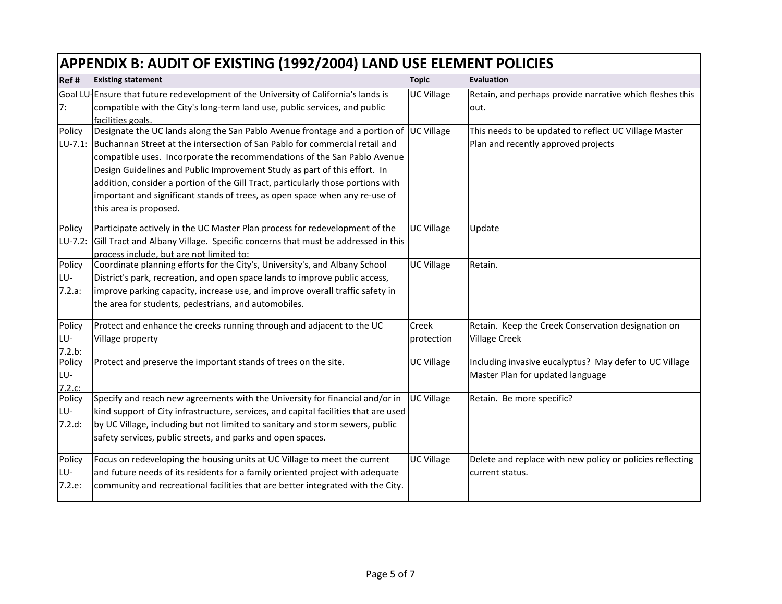|                         | APPENDIX B: AUDIT OF EXISTING (1992/2004) LAND USE ELEMENT POLICIES                                                                                                                                                                                                                                                                                                                                                                                                                                                         |                     |                                                                                              |  |
|-------------------------|-----------------------------------------------------------------------------------------------------------------------------------------------------------------------------------------------------------------------------------------------------------------------------------------------------------------------------------------------------------------------------------------------------------------------------------------------------------------------------------------------------------------------------|---------------------|----------------------------------------------------------------------------------------------|--|
| Ref#                    | <b>Existing statement</b>                                                                                                                                                                                                                                                                                                                                                                                                                                                                                                   | <b>Topic</b>        | Evaluation                                                                                   |  |
| 7:                      | Goal LU-Ensure that future redevelopment of the University of California's lands is<br>compatible with the City's long-term land use, public services, and public<br>facilities goals.                                                                                                                                                                                                                                                                                                                                      | UC Village          | Retain, and perhaps provide narrative which fleshes this<br>out.                             |  |
| Policy<br>LU-7.1:       | Designate the UC lands along the San Pablo Avenue frontage and a portion of UC Village<br>Buchannan Street at the intersection of San Pablo for commercial retail and<br>compatible uses. Incorporate the recommendations of the San Pablo Avenue<br>Design Guidelines and Public Improvement Study as part of this effort. In<br>addition, consider a portion of the Gill Tract, particularly those portions with<br>important and significant stands of trees, as open space when any re-use of<br>this area is proposed. |                     | This needs to be updated to reflect UC Village Master<br>Plan and recently approved projects |  |
| Policy<br>LU-7.2:       | Participate actively in the UC Master Plan process for redevelopment of the<br>Gill Tract and Albany Village. Specific concerns that must be addressed in this<br>process include, but are not limited to:                                                                                                                                                                                                                                                                                                                  | <b>UC Village</b>   | Update                                                                                       |  |
| Policy<br>LU-<br>7.2.a: | Coordinate planning efforts for the City's, University's, and Albany School<br>District's park, recreation, and open space lands to improve public access,<br>improve parking capacity, increase use, and improve overall traffic safety in<br>the area for students, pedestrians, and automobiles.                                                                                                                                                                                                                         | <b>UC Village</b>   | Retain.                                                                                      |  |
| Policy<br>LU-<br>7.2.b: | Protect and enhance the creeks running through and adjacent to the UC<br>Village property                                                                                                                                                                                                                                                                                                                                                                                                                                   | Creek<br>protection | Retain. Keep the Creek Conservation designation on<br><b>Village Creek</b>                   |  |
| Policy<br>LU-<br>7.2.c. | Protect and preserve the important stands of trees on the site.                                                                                                                                                                                                                                                                                                                                                                                                                                                             | <b>UC Village</b>   | Including invasive eucalyptus? May defer to UC Village<br>Master Plan for updated language   |  |
| Policy<br>LU-<br>7.2.d: | Specify and reach new agreements with the University for financial and/or in<br>kind support of City infrastructure, services, and capital facilities that are used<br>by UC Village, including but not limited to sanitary and storm sewers, public<br>safety services, public streets, and parks and open spaces.                                                                                                                                                                                                         | <b>UC Village</b>   | Retain. Be more specific?                                                                    |  |
| Policy<br>LU-<br>7.2.e. | Focus on redeveloping the housing units at UC Village to meet the current<br>and future needs of its residents for a family oriented project with adequate<br>community and recreational facilities that are better integrated with the City.                                                                                                                                                                                                                                                                               | <b>UC Village</b>   | Delete and replace with new policy or policies reflecting<br>current status.                 |  |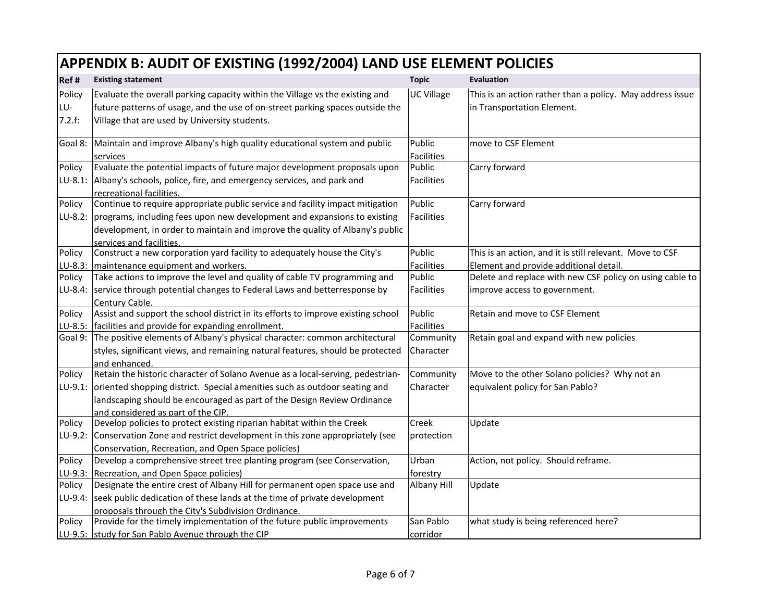|           | APPENDIX B: AUDIT OF EXISTING (1992/2004) LAND USE ELEMENT POLICIES                                          |                      |                                                           |  |
|-----------|--------------------------------------------------------------------------------------------------------------|----------------------|-----------------------------------------------------------|--|
| Ref #     | <b>Existing statement</b>                                                                                    | <b>Topic</b>         | Evaluation                                                |  |
| Policy    | Evaluate the overall parking capacity within the Village vs the existing and                                 | UC Village           | This is an action rather than a policy. May address issue |  |
| LU-       | future patterns of usage, and the use of on-street parking spaces outside the                                |                      | in Transportation Element.                                |  |
| 7.2.f.    | Village that are used by University students.                                                                |                      |                                                           |  |
| Goal 8:   | Maintain and improve Albany's high quality educational system and public<br>services                         | Public<br>Facilities | move to CSF Element                                       |  |
| Policy    | Evaluate the potential impacts of future major development proposals upon                                    | Public               | Carry forward                                             |  |
| LU-8.1:   | Albany's schools, police, fire, and emergency services, and park and<br>recreational facilities.             | <b>Facilities</b>    |                                                           |  |
| Policy    | Continue to require appropriate public service and facility impact mitigation                                | Public               | Carry forward                                             |  |
| LU-8.2:   | programs, including fees upon new development and expansions to existing                                     | Facilities           |                                                           |  |
|           | development, in order to maintain and improve the quality of Albany's public<br>services and facilities.     |                      |                                                           |  |
| Policy    | Construct a new corporation yard facility to adequately house the City's                                     | Public               | This is an action, and it is still relevant. Move to CSF  |  |
| LU-8.3:   | maintenance equipment and workers.                                                                           | Facilities           | Element and provide additional detail.                    |  |
| Policy    | Take actions to improve the level and quality of cable TV programming and                                    | Public               | Delete and replace with new CSF policy on using cable to  |  |
| LU-8.4:   | service through potential changes to Federal Laws and betterresponse by<br>Century Cable.                    | <b>Facilities</b>    | improve access to government.                             |  |
| Policy    | Assist and support the school district in its efforts to improve existing school                             | Public               | Retain and move to CSF Element                            |  |
| $LU-8.5:$ | facilities and provide for expanding enrollment.                                                             | Facilities           |                                                           |  |
| Goal 9:   | The positive elements of Albany's physical character: common architectural                                   | Community            | Retain goal and expand with new policies                  |  |
|           | styles, significant views, and remaining natural features, should be protected<br>and enhanced.              | Character            |                                                           |  |
| Policy    | Retain the historic character of Solano Avenue as a local-serving, pedestrian-                               | Community            | Move to the other Solano policies? Why not an             |  |
| LU-9.1:   | oriented shopping district. Special amenities such as outdoor seating and                                    | Character            | equivalent policy for San Pablo?                          |  |
|           | landscaping should be encouraged as part of the Design Review Ordinance                                      |                      |                                                           |  |
| Policy    | and considered as part of the CIP.<br>Develop policies to protect existing riparian habitat within the Creek | Creek                | Update                                                    |  |
| LU-9.2:   | Conservation Zone and restrict development in this zone appropriately (see                                   | protection           |                                                           |  |
|           | Conservation, Recreation, and Open Space policies)                                                           |                      |                                                           |  |
| Policy    | Develop a comprehensive street tree planting program (see Conservation,                                      | Urban                | Action, not policy. Should reframe.                       |  |
| LU-9.3:   | Recreation, and Open Space policies)                                                                         | forestry             |                                                           |  |
| Policy    | Designate the entire crest of Albany Hill for permanent open space use and                                   | Albany Hill          | Update                                                    |  |
| LU-9.4:   | seek public dedication of these lands at the time of private development                                     |                      |                                                           |  |
|           | proposals through the City's Subdivision Ordinance.                                                          |                      |                                                           |  |
| Policy    | Provide for the timely implementation of the future public improvements                                      | San Pablo            | what study is being referenced here?                      |  |
|           | LU-9.5: study for San Pablo Avenue through the CIP                                                           | corridor             |                                                           |  |